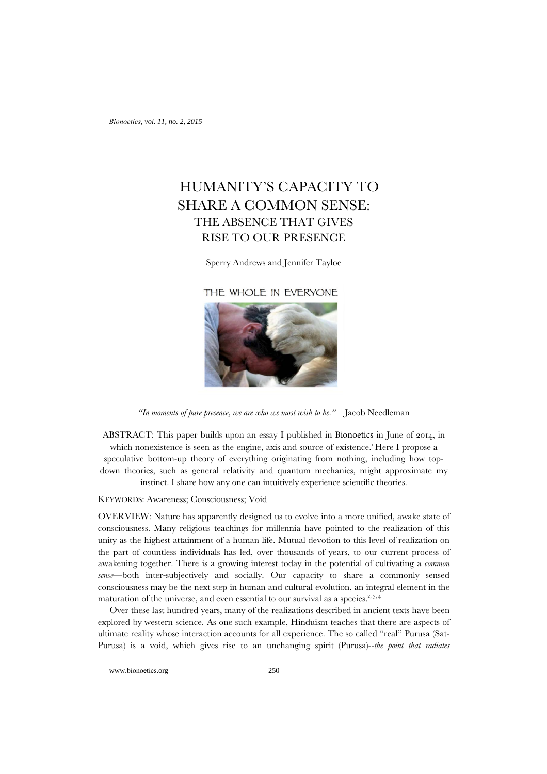# HUMANITY'S CAPACITY TO SHARE A COMMON SENSE: THE ABSENCE THAT GIVES RISE TO OUR PRESENCE

Sperry Andrews and Jennifer Tayloe

THE WHOLE IN EVERYONE



*"In moments of pure presence, we are who we most wish to be."* – Jacob Needleman

ABSTRACT: This paper builds upon an essay I published in Bionoetics in June of 2014, in which nonexistence is seen as the engine, axis and source of existence[.](http://www.connectioninstitute.org/PDF/1st_half_of_Essay.pdf)<sup>1</sup>Here I propose a speculative bottom-up theory of everything originating from nothing, including how topdown theories, such as general relativity and quantum mechanics, might approximate my instinct. I share how any one can intuitively experience scientific theories.

#### KEYWORDS: Awareness; Consciousness; Void

OVERVIEW: Nature has apparently designed us to evolve into a more unified, awake state of consciousness. Many religious teachings for millennia have pointed to the realization of this unity as the highest attainment of a human life. Mutual devotion to this level of realization on the part of countless individuals has led, over thousands of years, to our current process of awakening together. There is a growing interest today in the potential of cultivating a *common sense*—both inter-subjectively and socially. Our capacity to share a commonly sensed consciousness may be the next step in human and cultural evolution, an integral element in the maturation of the universe, and even essential to our survival as a species.<sup>[2,](http://www.amazon.com/One-Mind-Individual-Greater-Consciousness/dp/1401943152) [3,](http://goo.gl/HM7orU) [4](https://en.wikipedia.org/wiki/The_Cultural_Creatives)</sup>

 Over these last hundred years, many of the realizations described in ancient texts have been explored by western science. As one such example, Hinduism teaches that there are aspects of ultimate reality whose interaction accounts for all experience. The so called "real" Purusa (Sat-Purusa) is a void, which gives rise to an unchanging spirit (Purusa)--*the point that radiates* 

www.bionoetics.org 250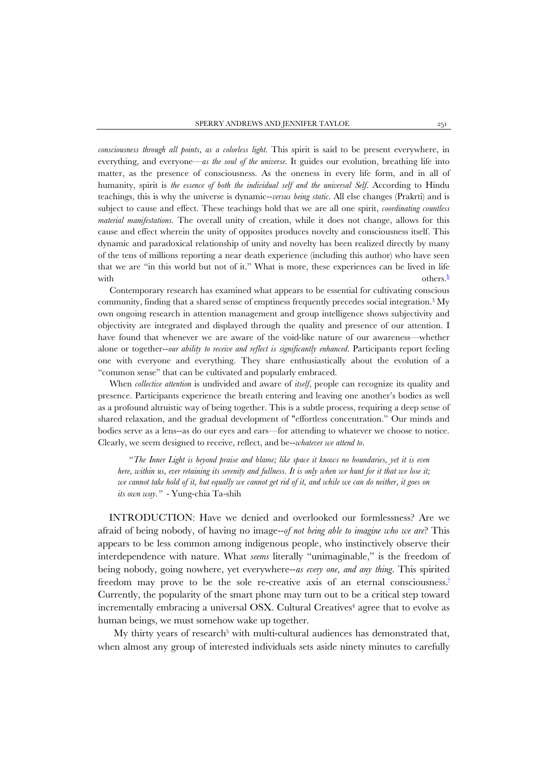*consciousness through all points, as a colorless light*. This spirit is said to be present everywhere, in everything, and everyone—*as the soul of the universe*. It guides our evolution, breathing life into matter, as the presence of consciousness. As the oneness in every life form, and in all of humanity, spirit is *the essence of both the individual self and the universal Self*. According to Hindu teachings, this is why the universe is dynamic--*versus being static*. All else changes (Prakrti) and is subject to cause and effect. These teachings hold that we are all one spirit, *coordinating countless material manifestations*. The overall unity of creation, while it does not change, allows for this cause and effect wherein the unity of opposites produces novelty and consciousness itself. This dynamic and paradoxical relationship of unity and novelty has been realized directly by many of the tens of millions reporting a near death experience (including this author) who have seen that we are "in this world but not of it." What is more, these experiences can be lived in life with  $\omega$  others.<sup>h</sup>

 Contemporary research has examined what appears to be essential for cultivating conscious community, finding that a shared sense of emptiness frequently precedes social integration.3 My own ongoing research in attention management and group intelligence shows subjectivity and objectivity are integrated and displayed through the quality and presence of our attention. I have found that whenever we are aware of the void-like nature of our awareness—whether alone or together--*our ability to receive and reflect is significantly enhanced*. Participants report feeling one with everyone and everything. They share enthusiastically about the evolution of a "common sense" that can be cultivated and popularly embraced.

 When *collective attention* is undivided and aware of *itself*, people can recognize its quality and presence. Participants experience the breath entering and leaving one another's bodies as well as a profound altruistic way of being together. This is a subtle process, requiring a deep sense of shared relaxation, and the gradual development of "effortless concentration." Our minds and bodies serve as a lens--as do our eyes and ears—for attending to whatever we choose to notice. Clearly, we seem designed to receive, reflect, and be--*whatever we attend to*.

"*The Inner Light is beyond praise and blame; like space it knows no boundaries, yet it is even here, within us, ever retaining its serenity and fullness. It is only when we hunt for it that we lose it; we cannot take hold of it, but equally we cannot get rid of it, and while we can do neither, it goes on its own way."* - Yung-chia Ta-shih

INTRODUCTION: Have we denied and overlooked our formlessness? Are we afraid of being nobody, of having no image--*of not being able to imagine who we are*? This appears to be less common among indigenous people, who instinctively observe their interdependence with nature. What *seems* literally "unimaginable," is the freedom of being nobody, going nowhere, yet everywhere--*as every one, and any thing*. This spirited freedom may prove to be the sole re-creative axis of an eternal consciousness.<sup>i</sup> Currently, the popularity of the smart phone may turn out to be a critical step toward incrementally embracing a universal OSX. Cultural Creatives<sup>4</sup> agree that to evolve as human beings, we must somehow wake up together.

My thirty years of research<sup>5</sup> with multi-cultural audiences has demonstrated that, when almost any group of interested individuals sets aside ninety minutes to carefully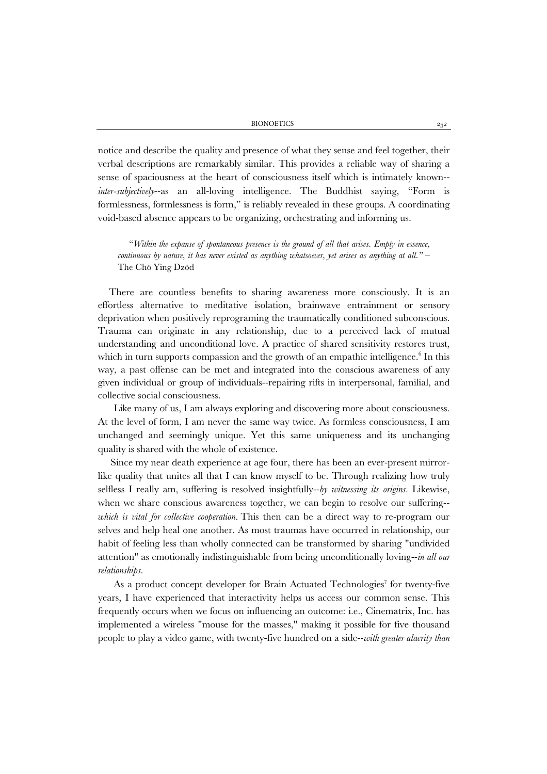notice and describe the quality and presence of what they sense and feel together, their verbal descriptions are remarkably similar. This provides a reliable way of sharing a sense of spaciousness at the heart of consciousness itself which is intimately known- *inter-subjectively*--as an all-loving intelligence. The Buddhist saying, "Form is formlessness, formlessness is form," is reliably revealed in these groups. A coordinating void-based absence appears to be organizing, orchestrating and informing us.

"*Within the expanse of spontaneous presence is the ground of all that arises. Empty in essence, continuous by nature, it has never existed as anything whatsoever, yet arises as anything at all."* – The Chö Ying Dzöd

There are countless benefits to sharing awareness more consciously. It is an effortless alternative to meditative isolation, brainwave entrainment or sensory deprivation when positively reprograming the traumatically conditioned subconscious. Trauma can originate in any relationship, due to a perceived lack of mutual understanding and unconditional love. A practice of shared sensitivity restores trust, which in turn supports compassion and the growth of an empathic intelligence[.](http://connectioninstitute.org/PDF/Testimonials.pdf) <sup>6</sup> In this way, a past offense can be met and integrated into the conscious awareness of any given individual or group of individuals--repairing rifts in interpersonal, familial, and collective social consciousness.

Like many of us, I am always exploring and discovering more about consciousness. At the level of form, I am never the same way twice. As formless consciousness, I am unchanged and seemingly unique. Yet this same uniqueness and its unchanging quality is shared with the whole of existence.

 Since my near death experience at age four, there has been an ever-present mirrorlike quality that unites all that I can know myself to be. Through realizing how truly selfless I really am, suffering is resolved insightfully--*by witnessing its origins*. Likewise, when we share conscious awareness together, we can begin to resolve our suffering- *which is vital for collective cooperation*. This then can be a direct way to re-program our selves and help heal one another. As most traumas have occurred in relationship, our habit of feeling less than wholly connected can be transformed by sharing "undivided attention" as emotionally indistinguishable from being unconditionally loving--*in all our relationships*.

As a product concept developer for Brain Actuated Technologies<sup>7</sup> for twenty-five years, I have experienced that interactivity helps us access our common sense*.* This frequently occurs when we focus on influencing an outcome: i.e., Cinematrix, Inc. has implemented a wireless "mouse for the masses," making it possible for five thousand people to play a video game, with twenty-five hundred on a side--*with greater alacrity than*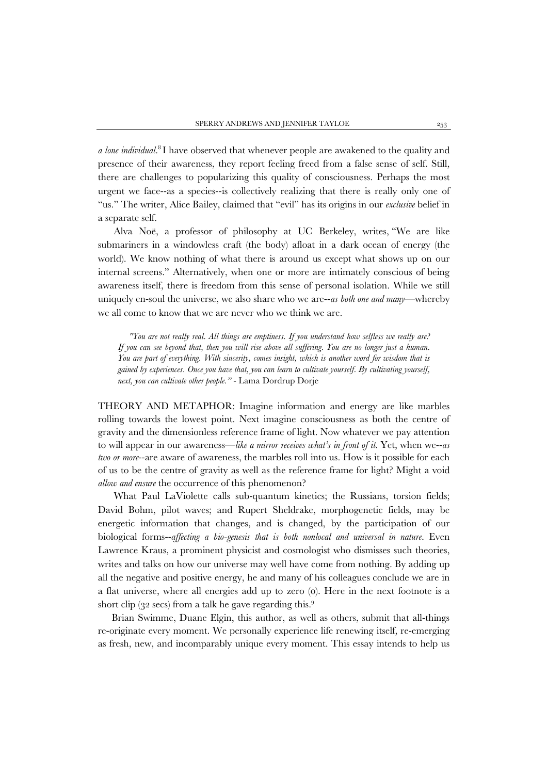*a lone individual*[.](http://usa.cinematrix.info/welcome-to-cinematrix/) <sup>8</sup> I have observed that whenever people are awakened to the quality and presence of their awareness, they report feeling freed from a false sense of self. Still, there are challenges to popularizing this quality of consciousness. Perhaps the most urgent we face--as a species--is collectively realizing that there is really only one of "us." The writer, Alice Bailey, claimed that "evil" has its origins in our *exclusive* belief in a separate self.

Alva Noë, a professor of philosophy at UC Berkeley, writes, "We are like submariners in a windowless craft (the body) afloat in a dark ocean of energy (the world). We know nothing of what there is around us except what shows up on our internal screens." Alternatively, when one or more are intimately conscious of being awareness itself, there is freedom from this sense of personal isolation. While we still uniquely en-soul the universe, we also share who we are--*as both one and many*—whereby we all come to know that we are never who we think we are.

*"You are not really real. All things are emptiness. If you understand how selfless we really are? If you can see beyond that, then you will rise above all suffering. You are no longer just a human. You are part of everything. With sincerity, comes insight, which is another word for wisdom that is gained by experiences. Once you have that, you can learn to cultivate yourself. By cultivating yourself, next, you can cultivate other people."* - Lama Dordrup Dorje

THEORY AND METAPHOR: Imagine information and energy are like marbles rolling towards the lowest point. Next imagine consciousness as both the centre of gravity and the dimensionless reference frame of light. Now whatever we pay attention to will appear in our awareness—*like a mirror receives what's in front of it*. Yet, when we--*as two or more*--are aware of awareness, the marbles roll into us. How is it possible for each of us to be the centre of gravity as well as the reference frame for light? Might a void *allow and ensure* the occurrence of this phenomenon?

What Paul LaViolette calls sub-quantum kinetics; the Russians, torsion fields; David Bohm, pilot waves; and Rupert Sheldrake, morphogenetic fields, may be energetic information that changes, and is changed, by the participation of our biological forms--*affecting a bio-genesis that is both nonlocal and universal in nature*. Even Lawrence Kraus, a prominent physicist and cosmologist who dismisses such theories, writes and talks on how our universe may well have come from nothing. By adding up all the negative and positive energy, he and many of his colleagues conclude we are in a flat universe, where all energies add up to zero (0). Here in the next footnote is a short clip (32 secs) from a talk he gave regarding this.<sup>9</sup>

Brian Swimme, Duane Elgin, this author, as well as others, submit that all-things re-originate every moment. We personally experience life renewing itself, re-emerging as fresh, new, and incomparably unique every moment. This essay intends to help us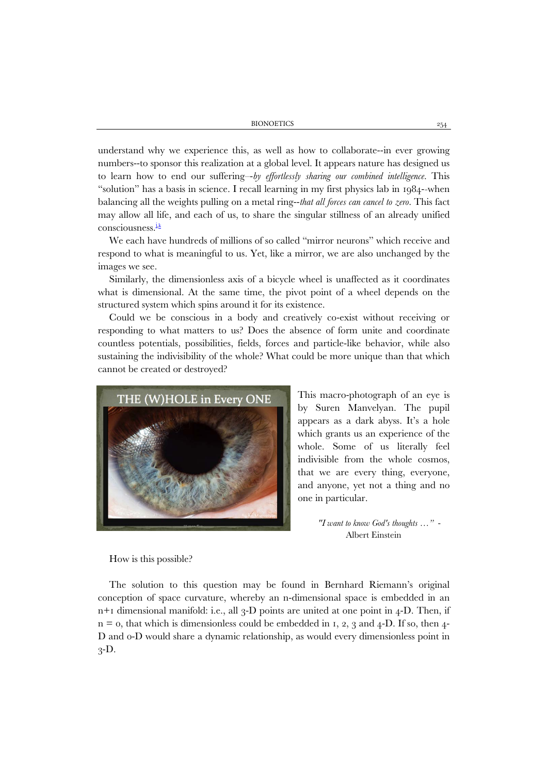BIONOETICS 254

understand why we experience this, as well as how to collaborate--in ever growing numbers--to sponsor this realization at a global level. It appears nature has designed us to learn how to end our suffering–-*by effortlessly sharing our combined intelligence.* This "solution" has a basis in science. I recall learning in my first physics lab in 1984-*-*when balancing all the weights pulling on a metal ring--*that all forces can cancel to zero*. This fact may allow all life, and each of us, to share the singular stillness of an already unified  $consciousness.<sup>i,k</sup>$  $consciousness.<sup>i,k</sup>$  $consciousness.<sup>i,k</sup>$ 

We each have hundreds of millions of so called "mirror neurons" which receive and respond to what is meaningful to us. Yet, like a mirror, we are also unchanged by the images we see.

Similarly, the dimensionless axis of a bicycle wheel is unaffected as it coordinates what is dimensional. At the same time, the pivot point of a wheel depends on the structured system which spins around it for its existence.

Could we be conscious in a body and creatively co-exist without receiving or responding to what matters to us? Does the absence of form unite and coordinate countless potentials, possibilities, fields, forces and particle-like behavior, while also sustaining the indivisibility of the whole? What could be more unique than that which cannot be created or destroyed?



This macro-photograph of an eye is by Suren Manvelyan. The pupil appears as a dark abyss. It's a hole which grants us an experience of the whole. Some of us literally feel indivisible from the whole cosmos, that we are every thing, everyone, and anyone, yet not a thing and no one in particular.

> *"I want to know God's thoughts …"* - Albert Einstein

How is this possible?

The solution to this question may be found in Bernhard Riemann's original conception of space curvature, whereby an n-dimensional space is embedded in an  $n+1$  dimensional manifold: i.e., all 3-D points are united at one point in 4-D. Then, if  $n = 0$ , that which is dimensionless could be embedded in 1, 2, 3 and 4-D. If so, then 4-D and 0-D would share a dynamic relationship, as would every dimensionless point in  $3-D.$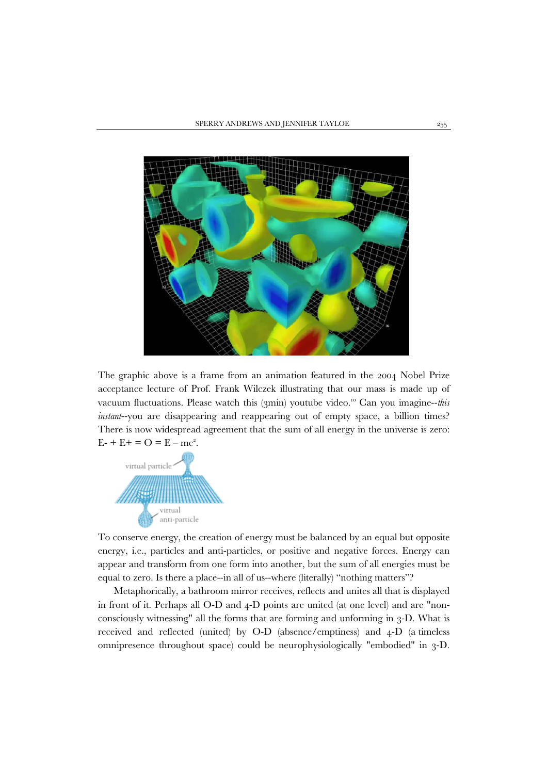

The graphic above is a frame from an animation featured in the 2004 Nobel Prize acceptance lecture of Prof. Frank Wilczek illustrating that our mass is made up of vacuum fluctuations. Please watch this (3min) youtube video. [10](https://www.youtube.com/watch?v=DuicExD91Uw&feature=youtu.be) Can you imagine--*this instant*--you are disappearing and reappearing out of empty space, a billion times? There is now widespread agreement that the sum of all energy in the universe is zero:  $E- + E+ = O = E - mc^2$ .



To conserve energy, the creation of energy must be balanced by an equal but opposite energy, i.e., particles and anti-particles, or positive and negative forces. Energy can appear and transform from one form into another, but the sum of all energies must be equal to zero. Is there a place--in all of us--where (literally) "nothing matters"?

Metaphorically, a bathroom mirror receives, reflects and unites all that is displayed in front of it. Perhaps all O-D and 4-D points are united (at one level) and are "nonconsciously witnessing" all the forms that are forming and unforming in 3-D. What is received and reflected (united) by O-D (absence/emptiness) and 4-D (a timeless omnipresence throughout space) could be neurophysiologically "embodied" in 3-D.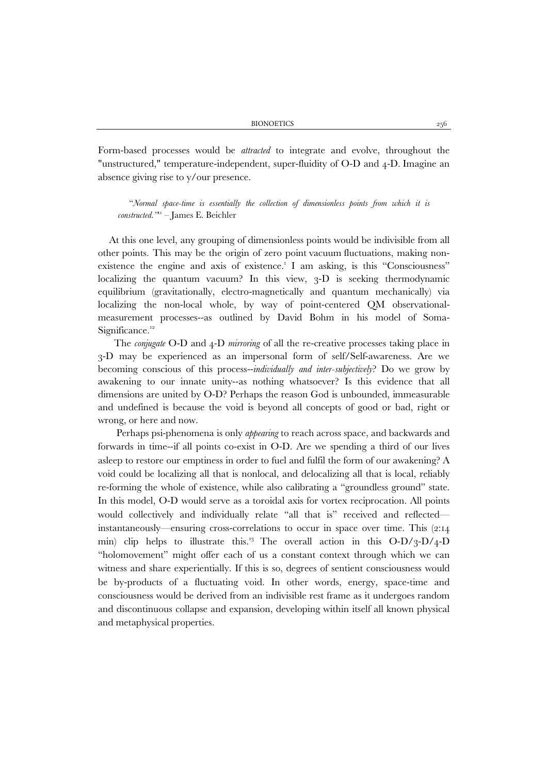Form-based processes would be *attracted* to integrate and evolve, throughout the "unstructured," temperature-independent, super-fluidity of O-D and 4-D. Imagine an absence giving rise to y/our presence.

"*Normal space-time is essentially the collection of dimensionless points from which it is constructed."*[11 –](https://www.academia.edu/7674017/The_point_of_unification_in_theoretical_physics=) James E. Beichler

At this one level, any grouping of dimensionless points would be indivisible from all other points. This may be the origin of zero point vacuum fluctuations, making nonexistence the engine and axis of existence.<sup>1</sup> I am asking, is this "Consciousness" localizing the quantum vacuum? In this view, 3-D is seeking thermodynamic equilibrium (gravitationally, electro-magnetically and quantum mechanically) via localizing the non-local whole, by way of point-centered QM observationalmeasurement processes--as outlined by David Bohm in his model of Soma-Significance.<sup>12</sup>

 The *conjugate* O-D and 4-D *mirroring* of all the re-creative processes taking place in 3-D may be experienced as an impersonal form of self/Self-awareness. Are we becoming conscious of this process--*individually and inter-subjectively*? Do we grow by awakening to our innate unity--as nothing whatsoever? Is this evidence that all dimensions are united by O-D? Perhaps the reason God is unbounded, immeasurable and undefined is because the void is beyond all concepts of good or bad, right or wrong, or here and now.

Perhaps psi-phenomena is only *appearing* to reach across space, and backwards and forwards in time--if all points co-exist in O-D. Are we spending a third of our lives asleep to restore our emptiness in order to fuel and fulfil the form of our awakening? A void could be localizing all that is nonlocal, and delocalizing all that is local, reliably re-forming the whole of existence, while also calibrating a "groundless ground" state. In this model, O-D would serve as a toroidal axis for vortex reciprocation. All points would collectively and individually relate "all that is" received and reflected instantaneously—ensuring cross-correlations to occur in space over time. This (2:14 min) clip helps to illustrate this.<sup>13</sup> The overall action in this  $O-D/3-D/4-D$ "holomovement" might offer each of us a constant context through which we can witness and share experientially. If this is so, degrees of sentient consciousness would be by-products of a fluctuating void. In other words, energy, space-time and consciousness would be derived from an indivisible rest frame as it undergoes random and discontinuous collapse and expansion, developing within itself all known physical and metaphysical properties.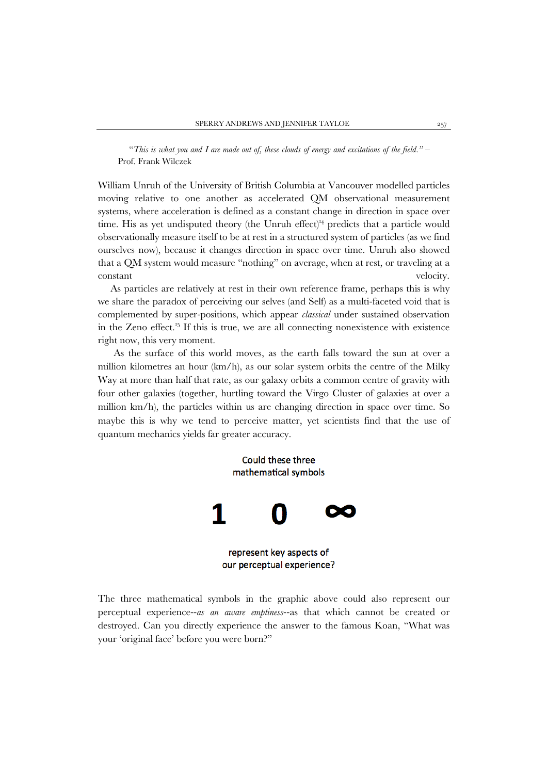"*This is what you and I are made out of, these clouds of energy and excitations of the field."* – Prof. Frank Wilczek

William Unruh of the University of British Columbia at Vancouver modelled particles moving relative to one another as accelerated QM observational measurement systems, where acceleration is defined as a constant change in direction in space over time. His as yet undisputed theory (the Unruh effect)<sup> $14$ </sup> predicts that a particle would observationally measure itself to be at rest in a structured system of particles (as we find ourselves now), because it changes direction in space over time. Unruh also showed that a QM system would measure "nothing" on average, when at rest, or traveling at a constant velocity.

 As particles are relatively at rest in their own reference frame, perhaps this is why we share the paradox of perceiving our selves (and Self) as a multi-faceted void that is complemented by super-positions, which appear *classical* under sustained observation in the Zeno effect. [15](https://en.wikipedia.org/wiki/Quantum_Zeno_effect) If this is true, we are all connecting nonexistence with existence right now, this very moment.

As the surface of this world moves, as the earth falls toward the sun at over a million kilometres an hour (km/h), as our solar system orbits the centre of the Milky Way at more than half that rate, as our galaxy orbits a common centre of gravity with four other galaxies (together, hurtling toward the Virgo Cluster of galaxies at over a million km/h), the particles within us are changing direction in space over time. So maybe this is why we tend to perceive matter, yet scientists find that the use of quantum mechanics yields far greater accuracy.



The three mathematical symbols in the graphic above could also represent our perceptual experience--*as an aware emptiness*--as that which cannot be created or destroyed. Can you directly experience the answer to the famous Koan, "What was your 'original face' before you were born?"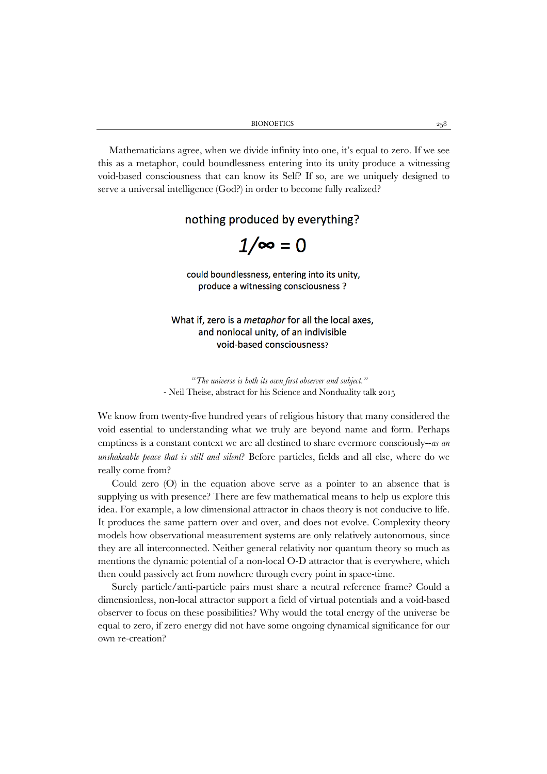Mathematicians agree, when we divide infinity into one, it's equal to zero. If we see this as a metaphor, could boundlessness entering into its unity produce a witnessing void-based consciousness that can know its Self? If so, are we uniquely designed to serve a universal intelligence (God?) in order to become fully realized?

nothing produced by everything?

 $1/\infty = 0$ 

could boundlessness, entering into its unity, produce a witnessing consciousness ?

What if, zero is a *metaphor* for all the local axes, and nonlocal unity, of an indivisible void-based consciousness?

"*The universe is both its own first observer and subject."* - Neil Theise, abstract for his Science and Nonduality talk 2015

We know from twenty-five hundred years of religious history that many considered the void essential to understanding what we truly are beyond name and form. Perhaps emptiness is a constant context we are all destined to share evermore consciously--*as an unshakeable peace that is still and silent*? Before particles, fields and all else, where do we really come from?

Could zero (O) in the equation above serve as a pointer to an absence that is supplying us with presence? There are few mathematical means to help us explore this idea. For example, a low dimensional attractor in chaos theory is not conducive to life. It produces the same pattern over and over, and does not evolve. Complexity theory models how observational measurement systems are only relatively autonomous, since they are all interconnected. Neither general relativity nor quantum theory so much as mentions the dynamic potential of a non-local O-D attractor that is everywhere, which then could passively act from nowhere through every point in space-time.

Surely particle/anti-particle pairs must share a neutral reference frame? Could a dimensionless, non-local attractor support a field of virtual potentials and a void-based observer to focus on these possibilities? Why would the total energy of the universe be equal to zero, if zero energy did not have some ongoing dynamical significance for our own re-creation?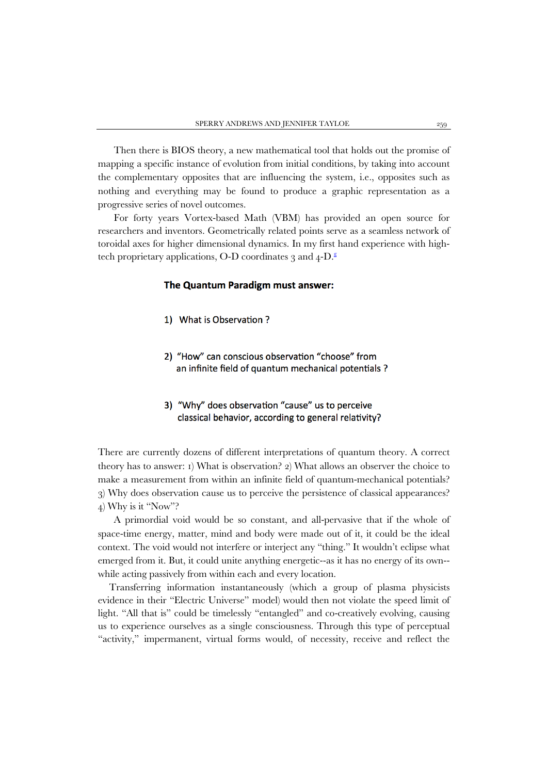Then there is BIOS theory, a new mathematical tool that holds out the promise of mapping a specific instance of evolution from initial conditions, by taking into account the complementary opposites that are influencing the system, i.e., opposites such as nothing and everything may be found to produce a graphic representation as a progressive series of novel outcomes.

 For forty years Vortex-based Math (VBM) has provided an open source for researchers and inventors. Geometrically related points serve as a seamless network of toroidal axes for higher dimensional dynamics. In my first hand experience with high-tech proprietary applications, O-D coordinates 3 and 4-D[.](http://www.free-energy-info.com/Rodin.pdf)<sup>8</sup>

#### The Quantum Paradigm must answer:

- 1) What is Observation ?
- 2) "How" can conscious observation "choose" from an infinite field of quantum mechanical potentials ?

## 3) "Why" does observation "cause" us to perceive classical behavior, according to general relativity?

There are currently dozens of different interpretations of quantum theory. A correct theory has to answer: 1) What is observation? 2) What allows an observer the choice to make a measurement from within an infinite field of quantum-mechanical potentials? 3) Why does observation cause us to perceive the persistence of classical appearances? 4) Why is it "Now"?

A primordial void would be so constant, and all-pervasive that if the whole of space-time energy, matter, mind and body were made out of it, it could be the ideal context. The void would not interfere or interject any "thing." It wouldn't eclipse what emerged from it. But, it could unite anything energetic--as it has no energy of its own- while acting passively from within each and every location.

Transferring information instantaneously (which a group of plasma physicists evidence in their "Electric Universe" model) would then not violate the speed limit of light. "All that is" could be timelessly "entangled" and co-creatively evolving, causing us to experience ourselves as a single consciousness. Through this type of perceptual "activity," impermanent, virtual forms would, of necessity, receive and reflect the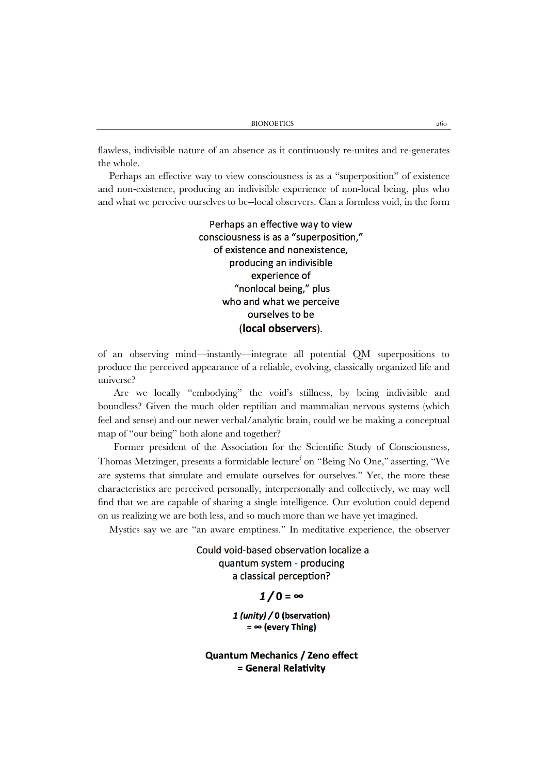flawless, indivisible nature of an absence as it continuously re-unites and re-generates the whole.

Perhaps an effective way to view consciousness is as a "superposition" of existence and non-existence, producing an indivisible experience of non-local being, plus who and what we perceive ourselves to be--local observers. Can a formless void, in the form

> Perhaps an effective way to view consciousness is as a "superposition," of existence and nonexistence, producing an indivisible experience of "nonlocal being," plus who and what we perceive ourselves to be (local observers).

of an observing mind—instantly—integrate all potential QM superpositions to produce the perceived appearance of a reliable, evolving, classically organized life and universe?

Are we locally "embodying" the void's stillness, by being indivisible and boundless? Given the much older reptilian and mammalian nervous systems (which feel and sense) and our newer verbal/analytic brain, could we be making a conceptual map of "our being" both alone and together?

Former president of the Association for the Scientific Study of Consciousness, Thomas Metzinger, presents a formidable lecture<sup>f</sup> on "Being No One," asserting, "We are systems that simulate and emulate ourselves for ourselves." Yet, the more these characteristics are perceived personally, interpersonally and collectively, we may well find that we are capable of sharing a single intelligence. Our evolution could depend on us realizing we are both less, and so much more than we have yet imagined.

Mystics say we are "an aware emptiness." In meditative experience, the observer

Could void-based observation localize a quantum system - producing a classical perception?

 $1/0 = \infty$ 

1 (unity) / 0 (bservation)  $=$   $\infty$  (every Thing)

**Quantum Mechanics / Zeno effect** = General Relativity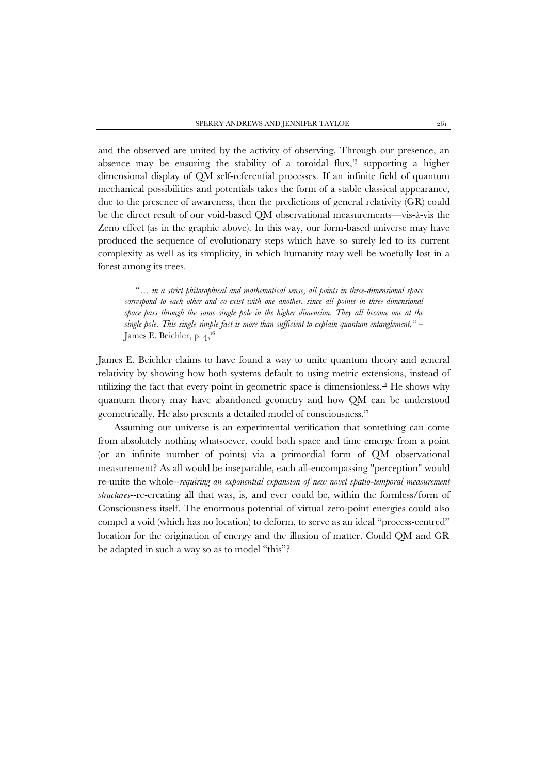and the observed are united by the activity of observing. Through our presence, an absence may be ensuring the stability of a toroidal flux, $\frac{13}{13}$  supporting a higher dimensional display of QM self-referential processes. If an infinite field of quantum mechanical possibilities and potentials takes the form of a stable classical appearance, due to the presence of awareness, then the predictions of general relativity (GR) could be the direct result of our void-based QM observational measurements—vis-à-vis the Zeno effect (as in the graphic above). In this way, our form-based universe may have produced the sequence of evolutionary steps which have so surely led to its current complexity as well as its simplicity, in which humanity may well be woefully lost in a forest among its trees.

"… *in a strict philosophical and mathematical sense, all points in three-dimensional space correspond to each other and co-exist with one another, since all points in three-dimensional space pass through the same single pole in the higher dimension. They all become one at the single pole. This single simple fact is more than sufficient to explain quantum entanglement."* – James E. Beichler, p. 4, $^{16}$ 

James E. Beichler claims to have found a way to unite quantum theory and general relativity by showing how both systems default to using metric extensions, instead of utilizing the fact that every point in geometric space is dimensionless. $44$  He shows why quantum theory may have abandoned geometry and how QM can be understood geometrically. He also presents a detailed model of consciousnes[s.17](https://www.academia.edu/12551336/The_Evolutionary_Imperative_of_Consciousness_Full_paper_)

Assuming our universe is an experimental verification that something can come from absolutely nothing whatsoever, could both space and time emerge from a point (or an infinite number of points) via a primordial form of QM observational measurement? As all would be inseparable, each all-encompassing "perception" would re-unite the whole--*requiring an exponential expansion of new novel spatio-temporal measurement structures*--re-creating all that was, is, and ever could be, within the formless/form of Consciousness itself. The enormous potential of virtual zero-point energies could also compel a void (which has no location) to deform, to serve as an ideal "process-centred" location for the origination of energy and the illusion of matter. Could QM and GR be adapted in such a way so as to model "this"?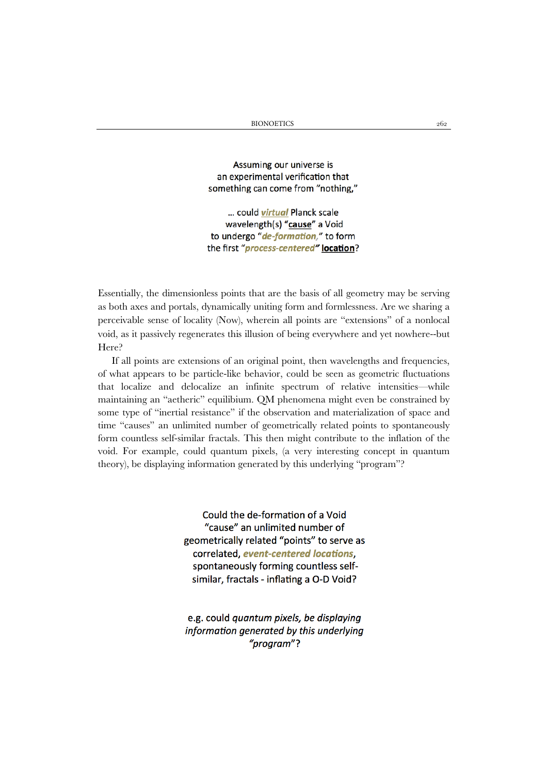Assuming our universe is an experimental verification that something can come from "nothing,"

... could *virtual* Planck scale wavelength(s) "cause" a Void to undergo "de-formation," to form the first "process-centered" location?

Essentially, the dimensionless points that are the basis of all geometry may be serving as both axes and portals, dynamically uniting form and formlessness. Are we sharing a perceivable sense of locality (Now), wherein all points are "extensions" of a nonlocal void, as it passively regenerates this illusion of being everywhere and yet nowhere--but Here?

If all points are extensions of an original point, then wavelengths and frequencies, of what appears to be particle-like behavior, could be seen as geometric fluctuations that localize and delocalize an infinite spectrum of relative intensities—while maintaining an "aetheric" equilibium. QM phenomena might even be constrained by some type of "inertial resistance" if the observation and materialization of space and time "causes" an unlimited number of geometrically related points to spontaneously form countless self-similar fractals. This then might contribute to the inflation of the void. For example, could quantum pixels, (a very interesting concept in quantum theory), be displaying information generated by this underlying "program"?

> Could the de-formation of a Void "cause" an unlimited number of geometrically related "points" to serve as correlated, event-centered locations, spontaneously forming countless selfsimilar, fractals - inflating a O-D Void?

> e.g. could quantum pixels, be displaying information generated by this underlying "program"?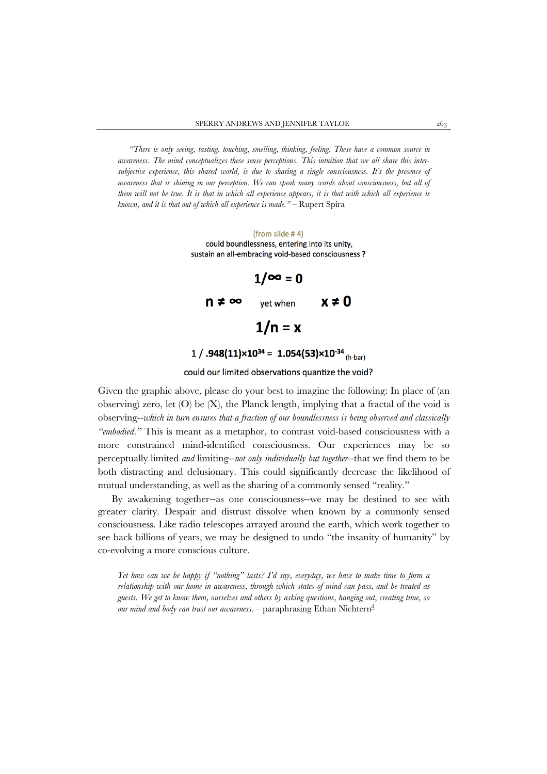*"There is only seeing, tasting, touching, smelling, thinking, feeling. These have a common source in awareness. The mind conceptualizes these sense perceptions. This intuition that we all share this intersubjective experience, this shared world, is due to sharing a single consciousness. It's the presence of awareness that is shining in our perception. We can speak many words about consciousness, but all of them will not be true. It is that in which all experience appears, it is that with which all experience is known, and it is that out of which all experience is made."* – Rupert Spira

#### (from slide #4) could boundlessness, entering into its unity, sustain an all-embracing void-based consciousness ?

|       | $1/\infty = 0$ |            |
|-------|----------------|------------|
| n ≠ ∞ | yet when       | $x \neq 0$ |
|       | $1/n = x$      |            |
|       |                |            |

## 1 / .948(11) $\times$ 10<sup>34</sup> = 1.054(53) $\times$ 10<sup>-34</sup> (h-bar)

## could our limited observations quantize the void?

Given the graphic above, please do your best to imagine the following: In place of (an observing) zero, let  $(O)$  be  $(X)$ , the Planck length, implying that a fractal of the void is observing--*which in turn ensures that a fraction of our boundlessness is being observed and classically "embodied."* This is meant as a metaphor, to contrast void-based consciousness with a more constrained mind-identified consciousness. Our experiences may be so perceptually limited *and* limiting--*not only individually but together*--that we find them to be both distracting and delusionary. This could significantly decrease the likelihood of mutual understanding, as well as the sharing of a commonly sensed "reality."

By awakening together--as one consciousness--we may be destined to see with greater clarity. Despair and distrust dissolve when known by a commonly sensed consciousness. Like radio telescopes arrayed around the earth, which work together to see back billions of years, we may be designed to undo "the insanity of humanity" by co-evolving a more conscious culture.

*Yet how can we be happy if "nothing" lasts? I'd say, everyday, we have to make time to form a relationship with our home in awareness, through which states of mind can pass, and be treated as guests. We get to know them, ourselves and others by asking questions, hanging out, creating time, so our mi[nd](https://www.youtube.com/watch?v=Txn8FUqPwJQ) and body can trust our awareness.* – paraphrasing Ethan Nichtern<sup>d</sup>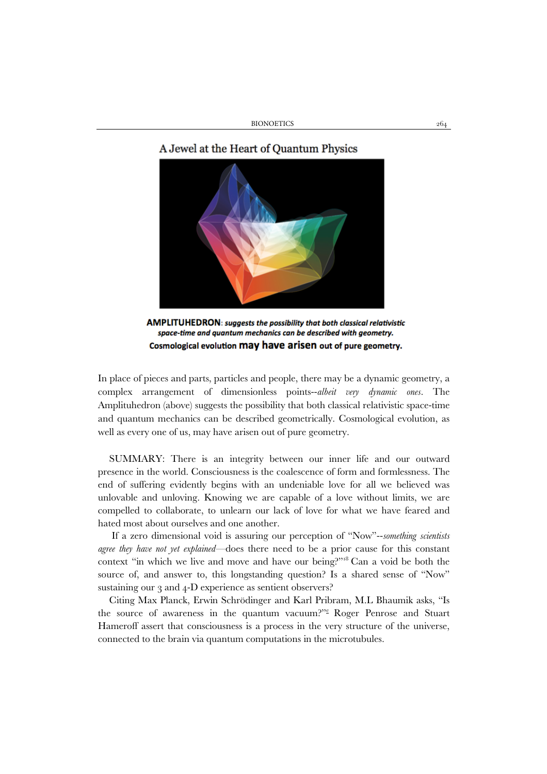BIONOETICS 264

## A Jewel at the Heart of Quantum Physics



AMPLITUHEDRON: suggests the possibility that both classical relativistic space-time and quantum mechanics can be described with geometry. Cosmological evolution may have arisen out of pure geometry.

In place of pieces and parts, particles and people, there may be a dynamic geometry, a complex arrangement of dimensionless points--*albeit very dynamic ones*. The Amplituhedron (above) suggests the possibility that both classical relativistic space-time and quantum mechanics can be described geometrically. Cosmological evolution, as well as every one of us, may have arisen out of pure geometry.

SUMMARY: There is an integrity between our inner life and our outward presence in the world. Consciousness is the coalescence of form and formlessness. The end of suffering evidently begins with an undeniable love for all we believed was unlovable and unloving. Knowing we are capable of a love without limits, we are compelled to collaborate, to unlearn our lack of love for what we have feared and hated most about ourselves and one another.

If a zero dimensional void is assuring our perception of "Now"--*something scientists agree they have not yet explained—*does there need to be a prior cause for this constant context "in which we live and move and have our being?["18](http://biblehub.com/sermons/acts/17-28.htm) Can a void be both the source of, and answer to, this longstanding question? Is a shared sense of "Now" sustaining our 3 and 4-D experience as sentient observers?

Citing Max Planck, Erwin Schrödinger and Karl Pribram, M.L Bhaumik asks, "Is the source of awareness in the quantum vacuum?["e](http://link.springer.com/book/10.1007/978-81-322-1587-5%23page-1) Roger Penrose and Stuart Hameroff assert that consciousness is a process in the very structure of the universe, connected to the brain via quantum computations in the microtubules.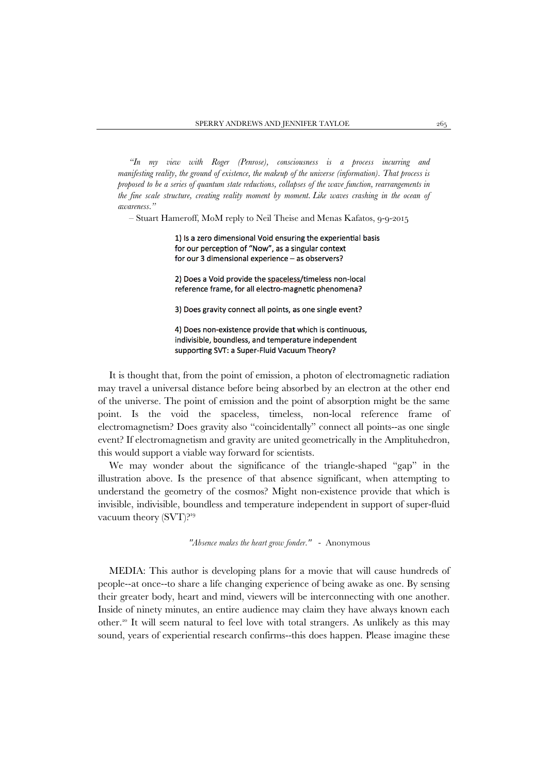*"In my view with Roger (Penrose), consciousness is a process incurring and manifesting reality, the ground of existence, the makeup of the universe (information). That process is proposed to be a series of quantum state reductions, collapses of the wave function, rearrangements in the fine scale structure, creating reality moment by moment. Like waves crashing in the ocean of awareness."*

– Stuart Hameroff, MoM reply to Neil Theise and Menas Kafatos, 9-9-2015

1) Is a zero dimensional Void ensuring the experiential basis for our perception of "Now", as a singular context for our 3 dimensional experience - as observers?

2) Does a Void provide the spaceless/timeless non-local reference frame, for all electro-magnetic phenomena?

3) Does gravity connect all points, as one single event?

4) Does non-existence provide that which is continuous, indivisible, boundless, and temperature independent supporting SVT: a Super-Fluid Vacuum Theory?

It is thought that, from the point of emission, a photon of electromagnetic radiation may travel a universal distance before being absorbed by an electron at the other end of the universe. The point of emission and the point of absorption might be the same point. Is the void the spaceless, timeless, non-local reference frame of electromagnetism? Does gravity also "coincidentally" connect all points--as one single event? If electromagnetism and gravity are united geometrically in the Amplituhedron, this would support a viable way forward for scientists.

We may wonder about the significance of the triangle-shaped "gap" in the illustration above. Is the presence of that absence significant, when attempting to understand the geometry of the cosmos? Might non-existence provide that which is invisible, indivisible, boundless and temperature independent in support of super-fluid vacuum theory (SVT)?<sup>19</sup>

*"Absence makes the heart grow fonder."* - Anonymous

MEDIA: This author is developing plans for a movie that will cause hundreds of people--at once--to share a life changing experience of being awake as one. By sensing their greater body, heart and mind, viewers will be interconnecting with one another. Inside of ninety minutes, an entire audience may claim they have always known each other.<sup>20</sup> It will seem natural to feel love with total strangers. As unlikely as this may sound, years of experiential research confirms--this does happen. Please imagine these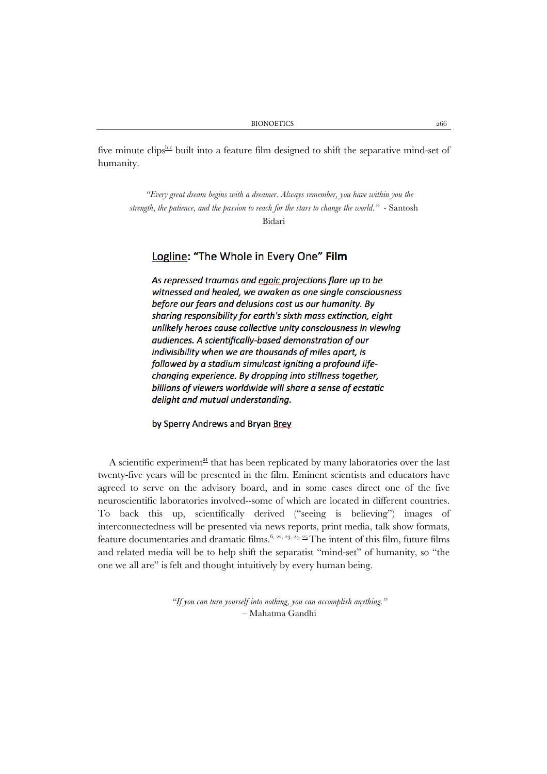five minute [c](https://www.youtube.com/watch?v=5FELdBsixGg)lips $\frac{b.c}{c}$  built into a feature film designed to shift the separative mind-set of humanity.

*"Every great dream begins with a dreamer. Always remember, you have within you the strength, the patience, and the passion to reach for the stars to change the world."* - Santosh Bidari

## Logline: "The Whole in Every One" Film

As repressed traumas and egoic projections flare up to be witnessed and healed, we awaken as one single consciousness before our fears and delusions cost us our humanity. By sharing responsibility for earth's sixth mass extinction, eight unlikely heroes cause collective unity consciousness in viewing audiences. A scientifically-based demonstration of our indivisibility when we are thousands of miles apart, is followed by a stadium simulcast igniting a profound lifechanging experience. By dropping into stillness together, billions of viewers worldwide will share a sense of ecstatic delight and mutual understanding.

### by Sperry Andrews and Bryan Brey

A scientific experiment<sup> $21$ </sup> that has been replicated by many laboratories over the last twenty-five years will be presented in the film. Eminent scientists and educators have agreed to serve on the advisory board, and in some cases direct one of the five neuroscientific laboratories involved--some of which are located in different countries. To back this up, scientifically derived ("seeing is believing") images of interconnectedness will be presented via news reports, print media, talk show formats, feature documentaries and dramatic films.<sup>6, [22,](http://www.connectioninstitute.org/Summary.html) [23,](http://connectioninstitute.org/PDF/Y-THE_HUMAN_CONNECTION_PROJECT.pdf) [24,](http://www.connectioninstitute.org/PDF/gig1.pdf) 25</sup> The intent of this film, future films and related media will be to help shift the separatist "mind-set" of humanity, so "the one we all are" is felt and thought intuitively by every human being.

> *"If you can turn yourself into nothing, you can accomplish anything."* – Mahatma Gandhi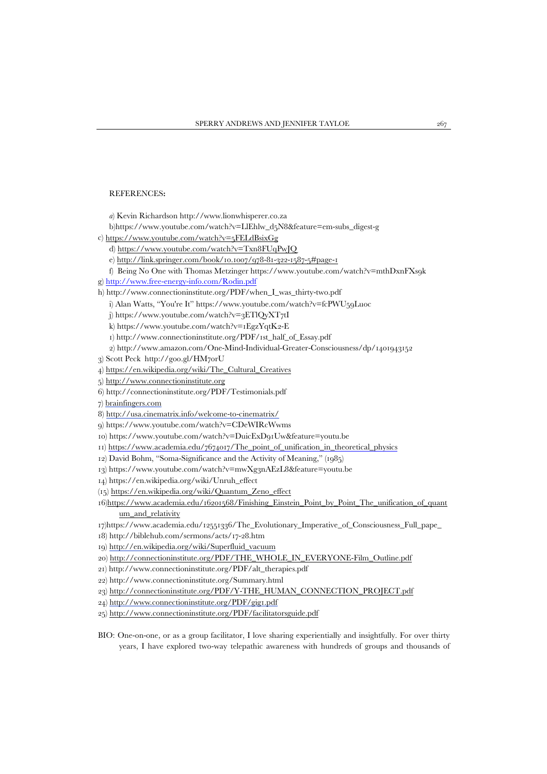#### REFERENCES**:**

- *a*) Kevin Richardson http://www.lionwhisperer.co.za
- b)https://www.youtube.com/watch?v=LlEhlw\_d5N8&feature=em-subs\_digest-g
- c)<https://www.youtube.com/watch?v=5FELdBsixGg>
	- d)<https://www.youtube.com/watch?v=Txn8FUqPwJQ>
	- e) [http://link.springer.com/book/10.1007/978-81-322-1587-5#page-1](http://link.springer.com/book/10.1007/978-81-322-1587-5%23page-1)
- f) Being No One with Thomas Metzinger https://www.youtube.com/watch?v=mthDxnFXs9k
- g)<http://www.free-energy-info.com/Rodin.pdf>
- h) http://www.connectioninstitute.org/PDF/when\_I\_was\_thirty-two.pdf
	- i) Alan Watts, "You're It[" https://www.youtube.com/watch?v=fcPWU59Luoc](https://www.youtube.com/watch?v=fcPWU59Luoc)
	- j) https://www.youtube.com/watch?v=3ETlQyXT7tI
	- k) https://www.youtube.com/watch?v=1EgzYqtK2-E
	- 1[\) http://www.connectioninstitute.org/PDF/1st\\_half\\_of\\_Essay.pdf](http://www.connectioninstitute.org/PDF/1st_half_of_Essay.pdf)
	- 2) <http://www.amazon.com/One-Mind-Individual-Greater-Consciousness/dp/1401943152>
- 3) Scott Peck http://goo.gl/HM7orU
- 4) [https://en.wikipedia.org/wiki/The\\_Cultural\\_Creatives](https://en.wikipedia.org/wiki/The_Cultural_Creatives)
- 5) [http://www.connectioninstitute.org](http://www.connectioninstitute.org/)
- 6) http://connectioninstitute.org/PDF/Testimonials.pdf
- 7[\) brainfingers.com](http://brainfingers.com/)
- 8[\) http://usa.cinematrix.info/welcome-to-cinematrix/](http://usa.cinematrix.info/welcome-to-cinematrix/)
- 9) https://www.youtube.com/watch?v=CDeWIRcWwms
- 10) https://www.youtube.com/watch?v=DuicExD91Uw&feature=youtu.be
- 11) [https://www.academia.edu/7674017/The\\_point\\_of\\_unification\\_in\\_theoretical\\_physics](https://www.academia.edu/7674017/The_point_of_unification_in_theoretical_physics)
- 12) David Bohm, "Soma-Significance and the Activity of Meaning," (1985)
- 13) https://www.youtube.com/watch?v=mwXg3nAEzL8&feature=youtu.be
- 14) https://en.wikipedia.org/wiki/Unruh\_effect
- (15[\) https://en.wikipedia.org/wiki/Quantum\\_Zeno\\_effect](https://en.wikipedia.org/wiki/Quantum_Zeno_effect)
- 1[6\)https://www.academia.edu/16201568/Finishing\\_Einstein\\_Point\\_by\\_Point\\_The\\_unification\\_of\\_quant](https://www.academia.edu/16201568/Finishing_Einstein_Point_by_Point_The_unification_of_quantum_and_relativity) [um\\_and\\_relativity](https://www.academia.edu/16201568/Finishing_Einstein_Point_by_Point_The_unification_of_quantum_and_relativity)
- 17)https://www.academia.edu/12551336/The\_Evolutionary\_Imperative\_of\_Consciousness\_Full\_pape\_
- 18) http://biblehub.com/sermons/acts/17-28.htm
- 19) [http://en.wikipedia.org/wiki/Superfluid\\_vacuum](http://en.wikipedia.org/wiki/Superfluid_vacuum)
- 20[\) http://connectioninstitute.org/PDF/THE\\_WHOLE\\_IN\\_EVERYONE-Film\\_Outline.pdf](http://connectioninstitute.org/PDF/THE_WHOLE_IN_EVERYONE-Film_Outline.pdf)
- 21) http://www.connectioninstitute.org/PDF/alt\_therapies.pdf
- 22) http://www.connectioninstitute.org/Summary.html
- 23) [http://connectioninstitute.org/PDF/Y-THE\\_HUMAN\\_CONNECTION\\_PROJECT.pdf](http://connectioninstitute.org/PDF/Y-THE_HUMAN_CONNECTION_PROJECT.pdf)
- 24[\) http://www.connectioninstitute.org/PDF/gig1.pdf](http://www.connectioninstitute.org/PDF/gig1.pdf)
- 25)<http://www.connectioninstitute.org/PDF/facilitatorsguide.pdf>
- BIO: One-on-one, or as a group facilitator, I love sharing experientially and insightfully. For over thirty years, I have explored two-way telepathic awareness with hundreds of groups and thousands of